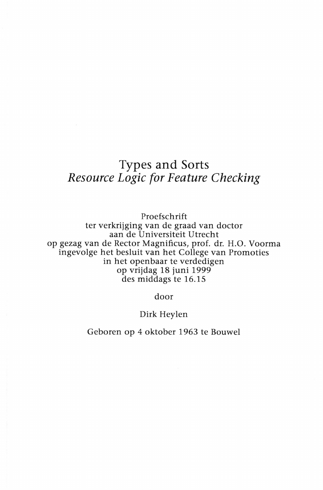## Types and Sorts Resource Logic for Feature Checking

Proefschrift ter verkriiging van de graad van doctor aan de Universiteit Utrecht op gezag van de Rector Magnificus, prof. dr. H.O. Voorma ingevolge het besluit van het College van Promoties in het openbaar te verdedigen op vriidag 18 iuni 1999 des middags te 16.15

door

## Dirk Heylen

Geboren op 4 oktober 1963 te Bouwel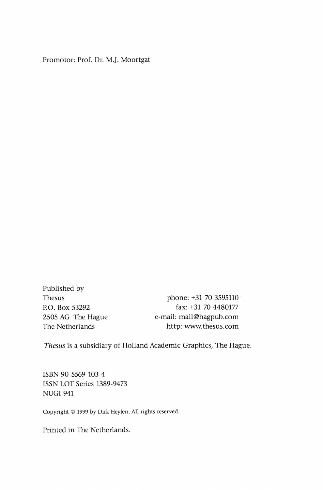Promotor: Prof. Dr. MJ. Moortgat

Published by

Thesus phone: +31 70 3595110 P.O. Box 53292 fax: +31 70 4480177 <sup>2505</sup>AG The Hague e-mail: mail@hagpub.com The Netherlands http: www.thesus.com

Thesus is a subsidiary of Holland Academic Graphics, The Hague.

ISBN 90-5569-103-4 ISSN LOT Series 1389-9473 NUGI 941

Copyright © 1999 by Dirk Heylen. All rights reserved.

Printed in The Netherlands.